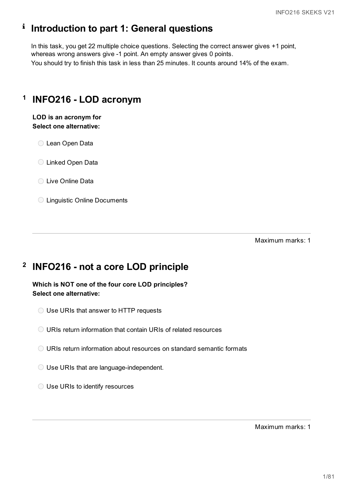# **Introduction to part 1: General questions**

In this task, you get 22 multiple choice questions. Selecting the correct answer gives +1 point, whereas wrong answers give -1 point. An empty answer gives 0 points. You should try to finish this task in less than 25 minutes. It counts around 14% of the exam.

# **1 INFO216 - LOD acronym**

**LOD is an acronym for Select one alternative:**

Lean Open Data

Linked Open Data

C Live Online Data

Linguistic Online Documents

Maximum marks: 1

# **2 INFO216 - not a core LOD principle**

**Which is NOT one of the four core LOD principles? Select one alternative:**

Use URIs that answer to HTTP requests

- URIs return information about resources on standard semantic formats
- Use URIs that are language-independent.
- O Use URIs to identify resources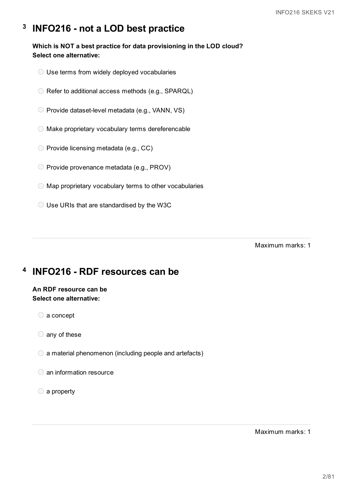#### **3 INFO216 - not a LOD best practice**

**Which is NOT a best practice for data provisioning in the LOD cloud? Select one alternative:**

- Use terms from widely deployed vocabularies
- O Refer to additional access methods (e.g., SPARQL)
- O Provide dataset-level metadata (e.g., VANN, VS)
- Make proprietary vocabulary terms dereferencable
- $\bigcirc$  Provide licensing metadata (e.g., CC)
- Provide provenance metadata (e.g., PROV)
- $\bigcirc$  Map proprietary vocabulary terms to other vocabularies
- Use URIs that are standardised by the W3C

Maximum marks: 1

#### **4 INFO216 - RDF resources can be**

## **An RDF resource can be Select one alternative:**

- a concept
- any of these
- $\bigcirc$  a material phenomenon (including people and artefacts)
- an information resource
- a property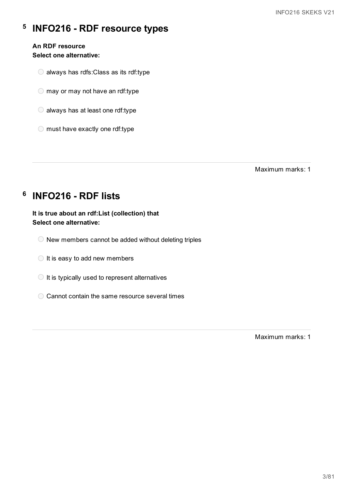#### **5 INFO216 - RDF resource types**

# **An RDF resource**

# **Select one alternative:**

- always has rdfs:Class as its rdf:type
- $\bigcirc$  may or may not have an rdf:type
- $\bigcirc$  always has at least one rdf:type
- $\bigcirc$  must have exactly one rdf:type

Maximum marks: 1

# **6 INFO216 - RDF lists**

**It is true about an rdf:List (collection) that Select one alternative:**

- $\bigcirc$  New members cannot be added without deleting triples
- $\bigcirc$  It is easy to add new members
- $\bigcirc$  It is typically used to represent alternatives
- Cannot contain the same resource several times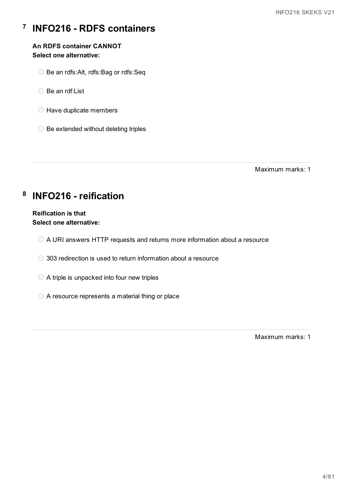#### **7 INFO216 - RDFS containers**

### **An RDFS container CANNOT Select one alternative:**

- Be an rdfs:Alt, rdfs:Bag or rdfs:Seq
- ◯ Be an rdf:List
- $\bigcirc$  Have duplicate members
- $\bigcirc$  Be extended without deleting triples

Maximum marks: 1

# **8 INFO216 - reification**

### **Reification is that Select one alternative:**

- A URI answers HTTP requests and returns more information about a resource
- 303 redirection is used to return information about a resource
- $\bigcirc$  A triple is unpacked into four new triples
- A resource represents a material thing or place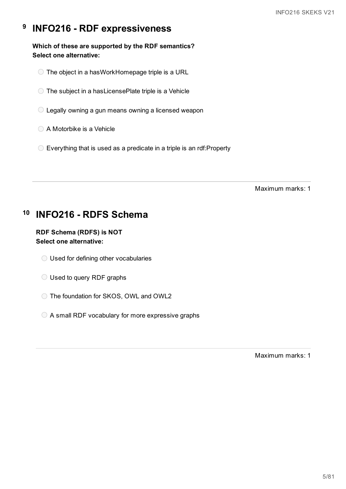#### **9 INFO216 - RDF expressiveness**

**Which of these are supported by the RDF semantics? Select one alternative:**

- The object in a hasWorkHomepage triple is a URL
- The subject in a hasLicensePlate triple is a Vehicle
- Legally owning a gun means owning a licensed weapon
- A Motorbike is a Vehicle
- $\circ$  Everything that is used as a predicate in a triple is an rdf: Property

Maximum marks: 1

#### **10 INFO216 - RDFS Schema**

## **RDF Schema (RDFS) is NOT Select one alternative:**

- Used for defining other vocabularies
- O Used to query RDF graphs
- The foundation for SKOS, OWL and OWL2
- A small RDF vocabulary for more expressive graphs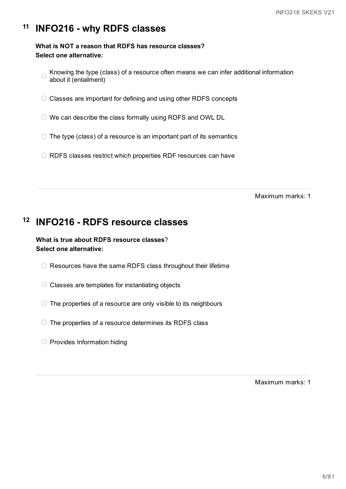#### **11 INFO216 - why RDFS classes**

## **What is NOT a reason that RDFS has resource classes? Select one alternative:**

- Knowing the type (class) of a resource often means we can infer additional information about it (entailment)
- Classes are important for defining and using other RDFS concepts
- We can describe the class formally using RDFS and OWL DL
- $\bigcirc$  The type (class) of a resource is an important part of its semantics
- RDFS classes restrict which properties RDF resources can have

Maximum marks: 1

# **12 INFO216 - RDFS resource classes**

**What is true about RDFS resource classes**? **Select one alternative:**

- $\bigcirc$  Resources have the same RDFS class throughout their lifetime
- Classes are templates for instantiating objects
- The properties of a resource are only visible to its neighbours
- $\circ$  The properties of a resource determines its RDFS class
- $\bigcirc$  Provides Information hiding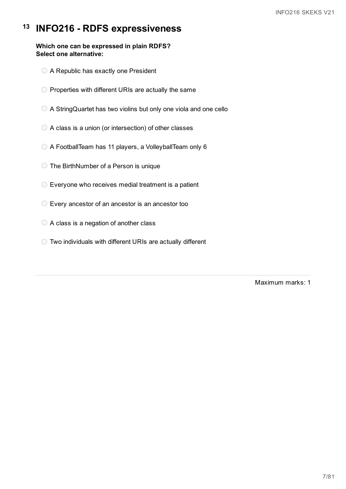#### **13 INFO216 - RDFS expressiveness**

#### **Which one can be expressed in plain RDFS? Select one alternative:**

- A Republic has exactly one President
- $\bigcirc$  Properties with different URIs are actually the same
- A StringQuartet has two violins but only one viola and one cello
- $\bigcirc$  A class is a union (or intersection) of other classes
- A FootballTeam has 11 players, a VolleyballTeam only 6
- The BirthNumber of a Person is unique
- Everyone who receives medial treatment is a patient
- Every ancestor of an ancestor is an ancestor too
- $\bigcirc$  A class is a negation of another class
- Two individuals with different URIs are actually different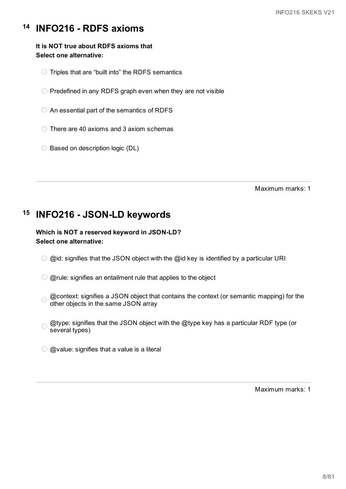#### **14 INFO216 - RDFS axioms**

### **It is NOT true about RDFS axioms that Select one alternative:**

- $\bigcirc$  Triples that are "built into" the RDFS semantics
- $\bigcirc$  Predefined in any RDFS graph even when they are not visible
- $\bigcirc$  An essential part of the semantics of RDFS
- $\bigcirc$  There are 40 axioms and 3 axiom schemas
- $\bigcirc$  Based on description logic (DL)

Maximum marks: 1

#### **15 INFO216 - JSON-LD keywords**

## **Which is NOT a reserved keyword in JSON-LD? Select one alternative:**

- $\odot$  @id: signifies that the JSON object with the @id key is identified by a particular URI
- $\bigcirc$  @rule: signifies an entailment rule that applies to the object
- @context: signifies a JSON object that contains the context (or semantic mapping) for the  $\bigcap$ other objects in the same JSON array
- @type: signifies that the JSON object with the @type key has a particular RDF type (or  $\bigcap$ several types)
- $\bigcirc$  @value: signifies that a value is a literal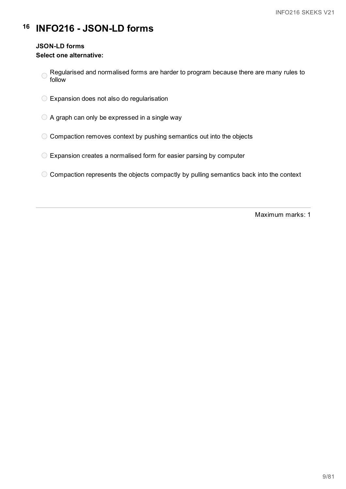# **16 INFO216 - JSON-LD forms**

#### **JSON-LD forms**

#### **Select one alternative:**

- Regularised and normalised forms are harder to program because there are many rules to  $\bigcirc$ follow
- Expansion does not also do regularisation
- $\bigcirc$  A graph can only be expressed in a single way
- $\circ$  Compaction removes context by pushing semantics out into the objects
- Expansion creates a normalised form for easier parsing by computer
- $\circ$  Compaction represents the objects compactly by pulling semantics back into the context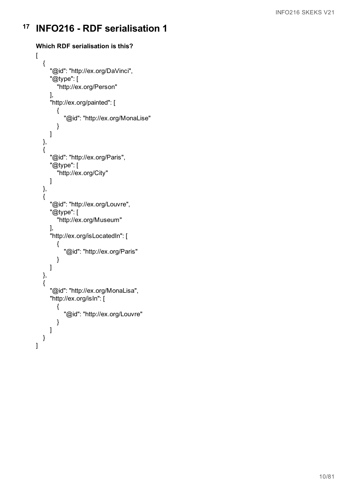```
Which RDF serialisation is this?
\overline{[}{
     "@id": "http://ex.org/DaVinci",
     "@type": [
        "http://ex.org/Person"
     ],
     "http://ex.org/painted": [
        {
           "@id": "http://ex.org/MonaLise"
        }
     ]
  },
  {
     "@id": "http://ex.org/Paris",
     "@type": [
        "http://ex.org/City"
     ]
  },
  {
     "@id": "http://ex.org/Louvre",
     "@type": [
        "http://ex.org/Museum"
     ],
     "http://ex.org/isLocatedIn": [
        {
           "@id": "http://ex.org/Paris"
        }
     ]
  },
  {
     "@id": "http://ex.org/MonaLisa",
     "http://ex.org/isIn": [
        {
           "@id": "http://ex.org/Louvre"
        }
     ]
  }
]
```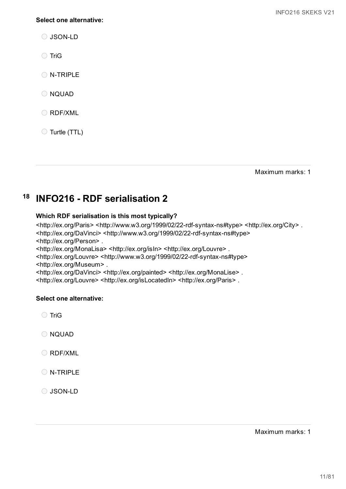#### **Select one alternative:**

O JSON-LD

◯ TriG

O N-TRIPLE

O NQUAD

RDF/XML

Turtle (TTL)

Maximum marks: 1

#### **18 INFO216 - RDF serialisation 2**

### **Which RDF serialisation is this most typically?**

<http://ex.org/Paris> <http://www.w3.org/1999/02/22-rdf-syntax-ns#type> <http://ex.org/City> . <http://ex.org/DaVinci> <http://www.w3.org/1999/02/22-rdf-syntax-ns#type> <http://ex.org/Person> .

<http://ex.org/MonaLisa> <http://ex.org/isIn> <http://ex.org/Louvre> .

<http://ex.org/Louvre> <http://www.w3.org/1999/02/22-rdf-syntax-ns#type> <http://ex.org/Museum> .

<http://ex.org/DaVinci> <http://ex.org/painted> <http://ex.org/MonaLise> . <http://ex.org/Louvre> <http://ex.org/isLocatedIn> <http://ex.org/Paris> .

### **Select one alternative:**

◯ TriG

O NQUAD

O RDF/XML

O N-TRIPLE

O JSON-LD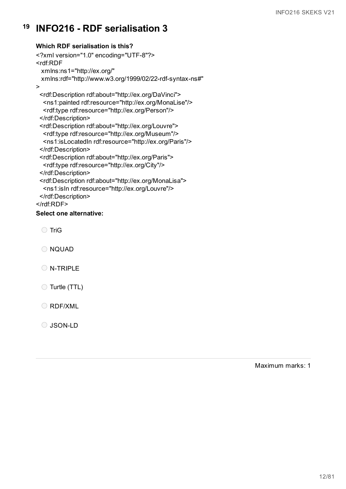## **Which RDF serialisation is this?**

<?xml version="1.0" encoding="UTF-8"?> <rdf:RDF xmlns:ns1="http://ex.org/" xmlns:rdf="http://www.w3.org/1999/02/22-rdf-syntax-ns#" > <rdf:Description rdf:about="http://ex.org/DaVinci"> <ns1:painted rdf:resource="http://ex.org/MonaLise"/> <rdf:type rdf:resource="http://ex.org/Person"/> </rdf:Description> <rdf:Description rdf:about="http://ex.org/Louvre"> <rdf:type rdf:resource="http://ex.org/Museum"/> <ns1:isLocatedIn rdf:resource="http://ex.org/Paris"/> </rdf:Description> <rdf:Description rdf:about="http://ex.org/Paris"> <rdf:type rdf:resource="http://ex.org/City"/> </rdf:Description> <rdf:Description rdf:about="http://ex.org/MonaLisa"> <ns1:isIn rdf:resource="http://ex.org/Louvre"/> </rdf:Description> </rdf:RDF>

#### **Select one alternative:**

◯ TriG

O NQUAD

- O N-TRIPLE
- Turtle (TTL)

O RDF/XML

O JSON-LD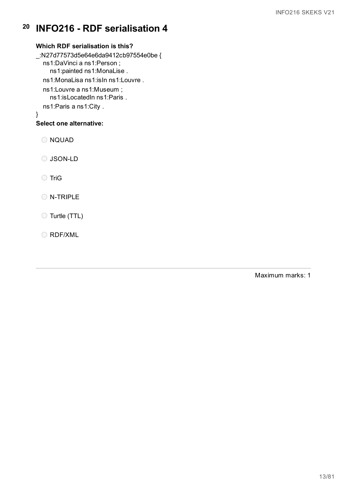### **Which RDF serialisation is this?**

\_:N27d77573d5e64e6da9412cb97554e0be { ns1:DaVinci a ns1:Person ; ns1:painted ns1:MonaLise . ns1:MonaLisa ns1:isIn ns1:Louvre . ns1:Louvre a ns1:Museum ; ns1:isLocatedIn ns1:Paris . ns1:Paris a ns1:City . } **Select one alternative:**

O NQUAD

O JSON-LD

◯ TriG

O N-TRIPLE

Turtle (TTL)

O RDF/XML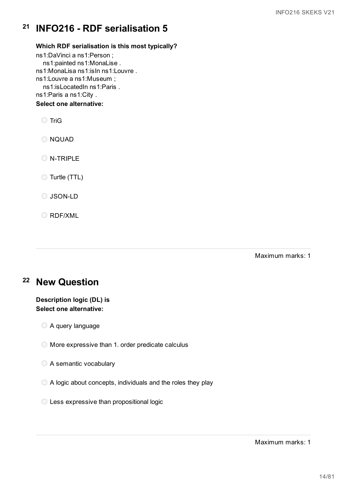### **Which RDF serialisation is this most typically?**

ns1:DaVinci a ns1:Person ; ns1:painted ns1:MonaLise . ns1:MonaLisa ns1:isIn ns1:Louvre . ns1:Louvre a ns1:Museum ; ns1:isLocatedIn ns1:Paris . ns1:Paris a ns1:City . **Select one alternative:**

◯ TriG O NQUAD O N-TRIPLE Turtle (TTL) O JSON-LD

O RDF/XML

Maximum marks: 1

# **<sup>22</sup> New Question**

## **Description logic (DL) is Select one alternative:**

- A query language
- $\bigcirc$  More expressive than 1. order predicate calculus
- A semantic vocabulary
- A logic about concepts, individuals and the roles they play
- Less expressive than propositional logic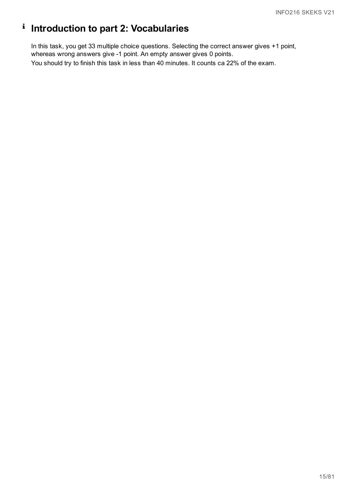# **Introduction to part 2: Vocabularies**

In this task, you get 33 multiple choice questions. Selecting the correct answer gives +1 point, whereas wrong answers give -1 point. An empty answer gives 0 points. You should try to finish this task in less than 40 minutes. It counts ca 22% of the exam.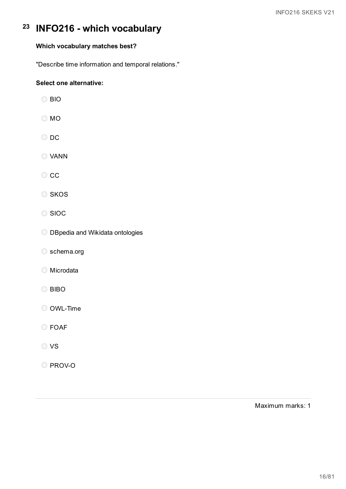## **Which vocabulary matches best?**

"Describe time information and temporal relations."

## **Select one alternative:**

- BIO
- O MO
- $\bigcirc$  DC
- VANN
- $\circ$  cc
- O SKOS
- ◯ SIOC
- O DBpedia and Wikidata ontologies
- schema.org
- Microdata
- O BIBO
- O OWL-Time
- FOAF
- O VS
- O PROV-O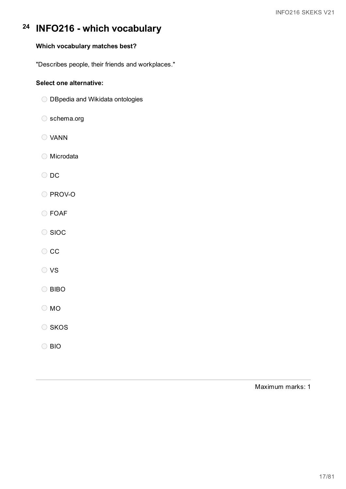# **Which vocabulary matches best?**

"Describes people, their friends and workplaces."

#### **Select one alternative:**

- O DBpedia and Wikidata ontologies
- schema.org
- VANN
- Microdata
- O DC
- O PROV-O
- FOAF
- O SIOC
- $\circ$  cc
- O VS
- O BIBO
- MO
- O SKOS
- BIO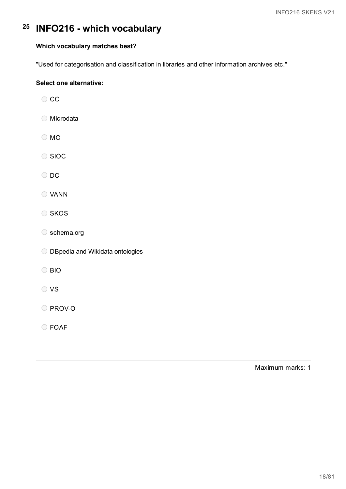### **Which vocabulary matches best?**

"Used for categorisation and classification in libraries and other information archives etc."

### **Select one alternative:**

 $\bigcirc$  CC

- Microdata
- O MO
- O SIOC
- O DC
- VANN
- O SKOS
- schema.org
- O DBpedia and Wikidata ontologies
- O BIO
- O VS
- O PROV-O
- FOAF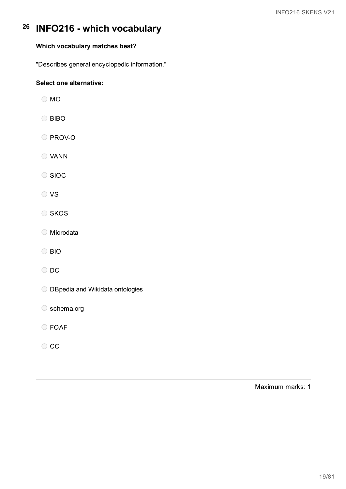# **Which vocabulary matches best?**

"Describes general encyclopedic information."

## **Select one alternative:**

O MO

O BIBO

O PROV-O

VANN

O SIOC

VS

O SKOS

Microdata

BIO

O DC

O DBpedia and Wikidata ontologies

O schema.org

O FOAF

 $\bigcirc$  CC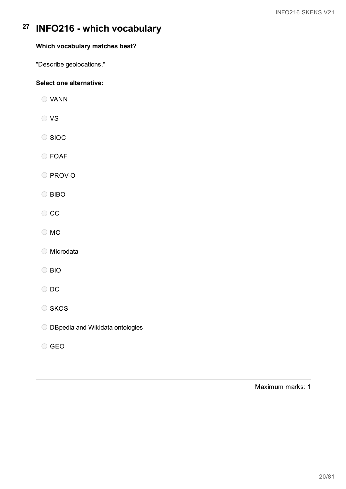# **Which vocabulary matches best?**

"Describe geolocations."

## **Select one alternative:**

- VANN
- O VS
- O SIOC
- FOAF

O PROV-O

- O BIBO
- $\circ$  cc
- MO
- Microdata
- BIO
- O DC
- O SKOS
- O DBpedia and Wikidata ontologies
- GEO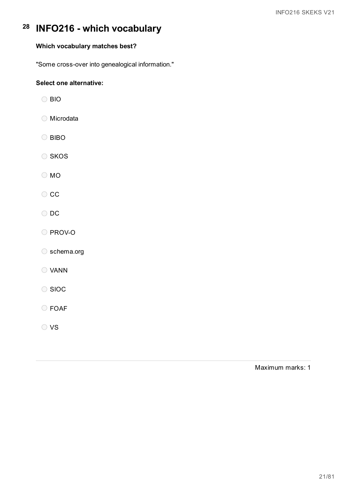# **Which vocabulary matches best?**

"Some cross-over into genealogical information."

### **Select one alternative:**

BIO

Microdata

- O BIBO
- O SKOS

O MO

 $\bigcirc$  CC

O DC

O PROV-O

O schema.org

VANN

◯ SIOC

FOAF

O VS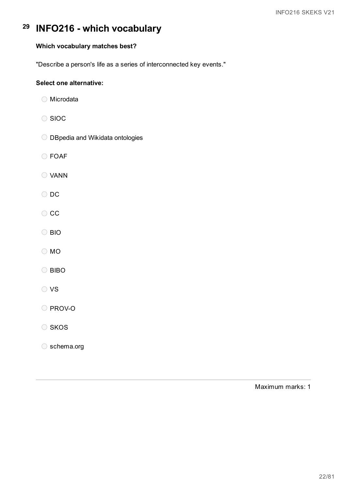### **Which vocabulary matches best?**

"Describe a person's life as a series of interconnected key events."

### **Select one alternative:**

- ◯ Microdata
- O SIOC
- O DBpedia and Wikidata ontologies
- FOAF
- VANN
- O DC
- $\circ$  cc
- O BIO
- MO
- O BIBO
- O VS

O PROV-O

O SKOS

schema.org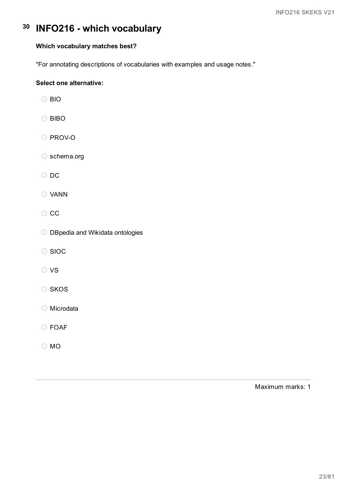### **Which vocabulary matches best?**

"For annotating descriptions of vocabularies with examples and usage notes."

### **Select one alternative:**

BIO

O BIBO

O PROV-O

schema.org

O DC

VANN

 $\circ$  cc

O DBpedia and Wikidata ontologies

◯ SIOC

O VS

O SKOS

Microdata

FOAF

MO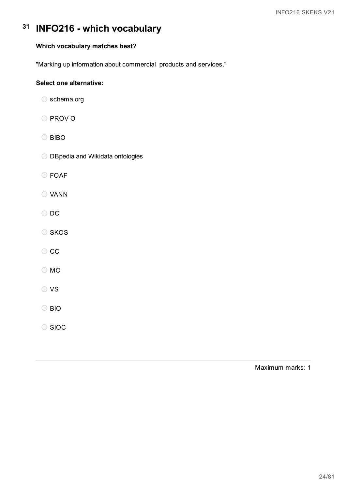## **Which vocabulary matches best?**

"Marking up information about commercial products and services."

### **Select one alternative:**

- schema.org
- O PROV-O
- O BIBO
- O DBpedia and Wikidata ontologies
- FOAF
- VANN
- O DC
- O SKOS
- $\circ$  cc
- O MO
- O VS
- BIO
- O SIOC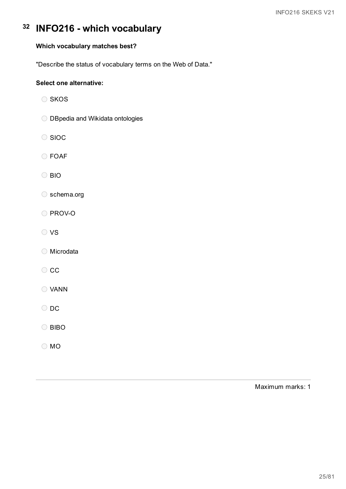## **Which vocabulary matches best?**

"Describe the status of vocabulary terms on the Web of Data."

### **Select one alternative:**

- $\bigcirc$  SKOS
- O DBpedia and Wikidata ontologies
- O SIOC
- FOAF
- BIO
- schema.org
- O PROV-O
- O VS
- Microdata
- $\circ$  cc
- VANN
- O DC
- O BIBO
- MO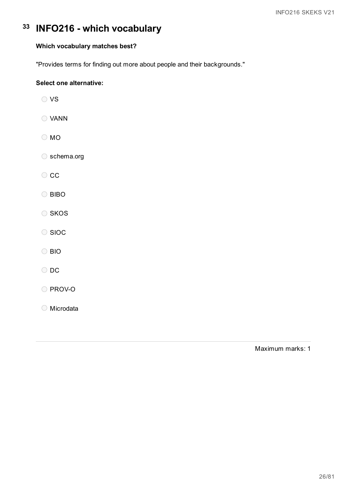## **Which vocabulary matches best?**

"Provides terms for finding out more about people and their backgrounds."

## **Select one alternative:**

| ◯ VS           |
|----------------|
| ◯ VANN         |
| $\bigcirc$ MO  |
| Schema.org     |
| $\circ$ cc     |
| C BIBO         |
| SKOS           |
| SIOC           |
| $\bigcirc$ BIO |
| $\bigcirc$ DC  |
| O PROV-O       |
| O Microdata    |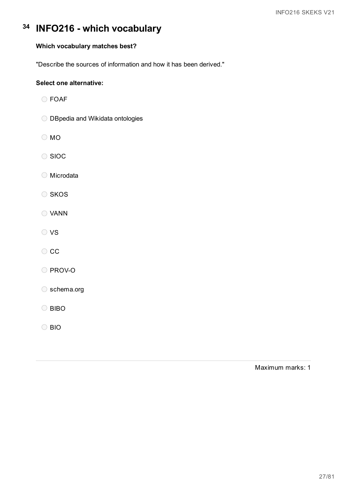### **Which vocabulary matches best?**

"Describe the sources of information and how it has been derived."

### **Select one alternative:**

- FOAF
- O DBpedia and Wikidata ontologies
- O MO
- O SIOC
- Microdata
- O SKOS
- VANN
- O VS
- $\circ$  cc
- O PROV-O
- schema.org
- O BIBO
- O BIO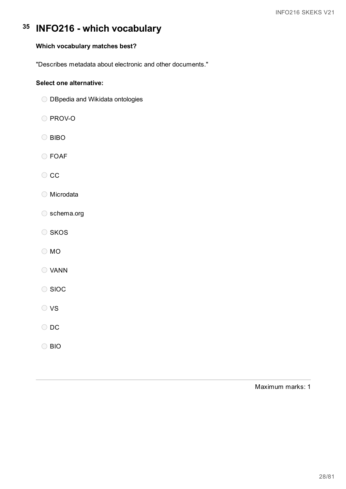# **Which vocabulary matches best?**

"Describes metadata about electronic and other documents."

### **Select one alternative:**

- O DBpedia and Wikidata ontologies
- O PROV-O
- O BIBO
- FOAF
- $\circ$  cc
- Microdata
- O schema.org
- O SKOS
- MO
- VANN
- ◯ SIOC
- O VS
- O DC
- BIO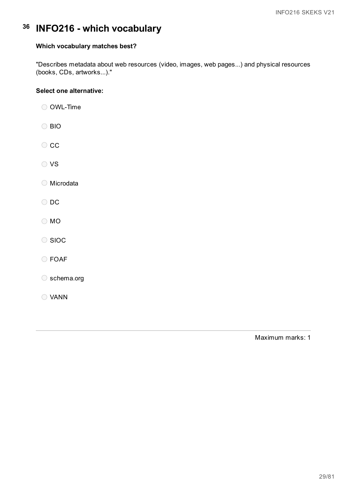#### **Which vocabulary matches best?**

"Describes metadata about web resources (video, images, web pages...) and physical resources (books, CDs, artworks...)."

### **Select one alternative:**

O OWL-Time

- BIO
- $\circ$  cc
- O VS

Microdata

- O DC
- O MO
- O SIOC
- FOAF
- schema.org
- VANN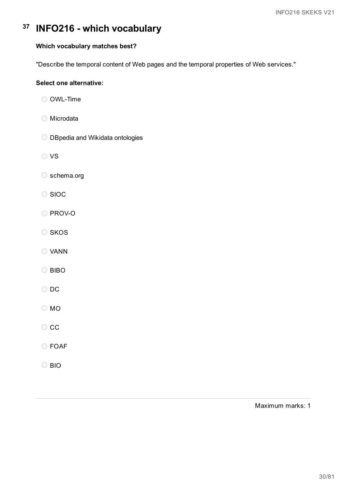### **Which vocabulary matches best?**

"Describe the temporal content of Web pages and the temporal properties of Web services."

### **Select one alternative:**

- O OWL-Time
- Microdata
- O DBpedia and Wikidata ontologies
- O VS
- schema.org
- O SIOC
- O PROV-O
- O SKOS
- VANN
- O BIBO
- O DC
- O MO
- $\bigcirc$  CC
- FOAF
- BIO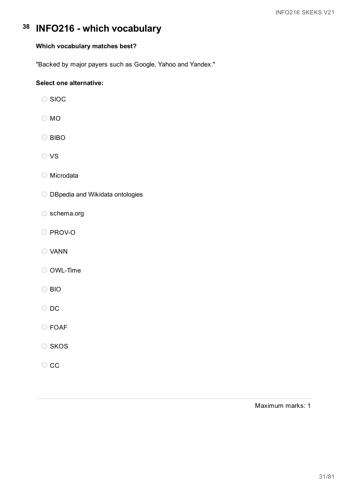# **Which vocabulary matches best?**

"Backed by major payers such as Google, Yahoo and Yandex."

## **Select one alternative:**

- ◯ SIOC
- O MO
- O BIBO
- O VS
- Microdata
- O DBpedia and Wikidata ontologies
- schema.org
- O PROV-O
- VANN
- OWL-Time
- BIO
- O DC
- FOAF
- O SKOS
- $\circ$  cc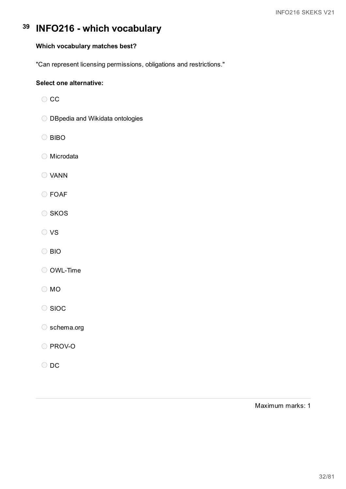## **Which vocabulary matches best?**

"Can represent licensing permissions, obligations and restrictions."

### **Select one alternative:**

- $\bigcirc$  CC
- O DBpedia and Wikidata ontologies
- O BIBO
- ◯ Microdata
- VANN
- FOAF
- O SKOS
- O VS
- BIO
- OWL-Time
- MO
- O SIOC
- O schema.org
- O PROV-O
- O DC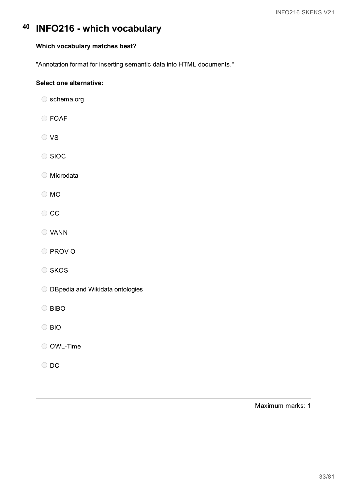### **Which vocabulary matches best?**

"Annotation format for inserting semantic data into HTML documents."

### **Select one alternative:**

- schema.org
- FOAF
- O VS
- O SIOC
- Microdata
- MO
- $\circ$  cc
- VANN
- O PROV-O
- O SKOS
- O DBpedia and Wikidata ontologies
- O BIBO
- O BIO
- OWL-Time
- O DC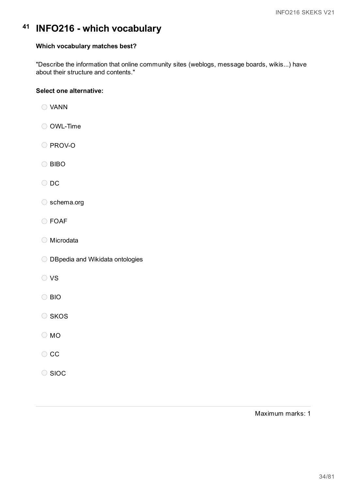#### **Which vocabulary matches best?**

"Describe the information that online community sites (weblogs, message boards, wikis...) have about their structure and contents."

#### **Select one alternative:**

- VANN
- O OWL-Time
- PROV-O
- O BIBO
- O DC
- ◯ schema.org
- FOAF
- Microdata
- O DBpedia and Wikidata ontologies
- O vs
- BIO
- O SKOS
- MO
- $\bigcirc$  CC
- C SIOC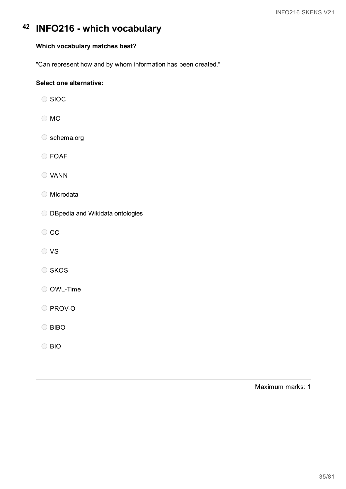### **Which vocabulary matches best?**

"Can represent how and by whom information has been created."

### **Select one alternative:**

- ◯ SIOC
- O MO
- O schema.org
- FOAF
- VANN
- Microdata
- O DBpedia and Wikidata ontologies
- $\circ$  cc
- O VS
- O SKOS
- OWL-Time
- O PROV-O
- O BIBO
- BIO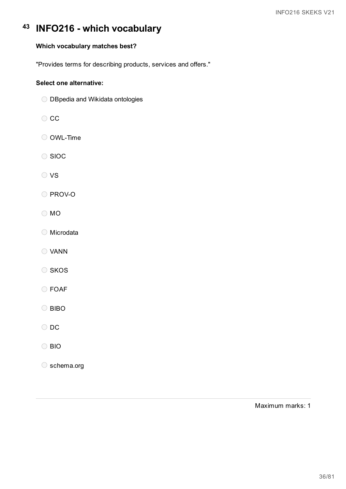## **Which vocabulary matches best?**

"Provides terms for describing products, services and offers."

### **Select one alternative:**

- O DBpedia and Wikidata ontologies
- CC
- O OWL-Time
- O SIOC
- O VS
- O PROV-O
- O MO
- Microdata
- VANN
- O SKOS
- FOAF
- O BIBO
- O DC
- BIO
- O schema.org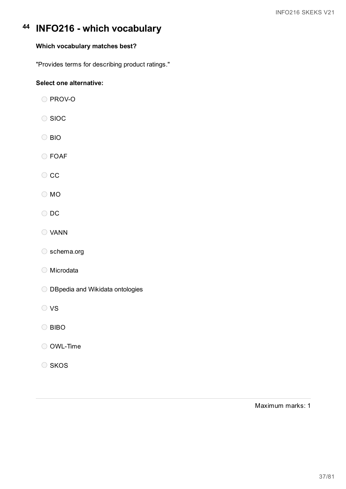## **Which vocabulary matches best?**

"Provides terms for describing product ratings."

## **Select one alternative:**

- PROV-O
- O SIOC
- O BIO
- FOAF
- $\circ$  cc
- MO
- O DC
- VANN
- schema.org
- Microdata
- O DBpedia and Wikidata ontologies
- O VS
- O BIBO
- OWL-Time
- O SKOS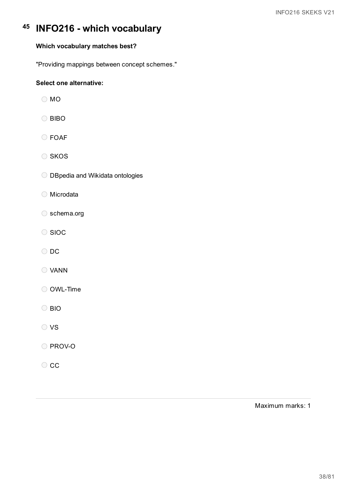## **Which vocabulary matches best?**

"Providing mappings between concept schemes."

## **Select one alternative:**

- O MO
- O BIBO
- FOAF
- O SKOS
- O DBpedia and Wikidata ontologies
- Microdata
- schema.org
- O SIOC
- O DC
- VANN
- OWL-Time
- BIO
- O VS
- O PROV-O
- $\circ$  cc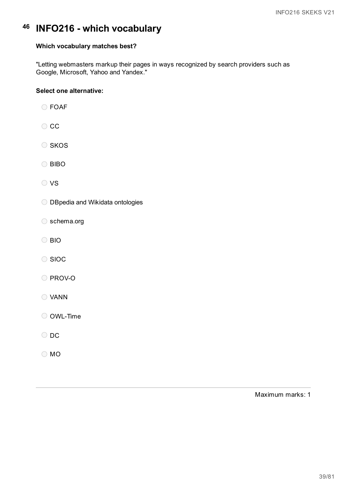### **Which vocabulary matches best?**

"Letting webmasters markup their pages in ways recognized by search providers such as Google, Microsoft, Yahoo and Yandex."

### **Select one alternative:**

FOAF

- $\circ$  cc
- $\circ$  SKOS

O BIBO

- O vs
- O DBpedia and Wikidata ontologies
- ◯ schema.org
- BIO
- O SIOC
- O PROV-O
- VANN

OWL-Time

- O DC
- O MO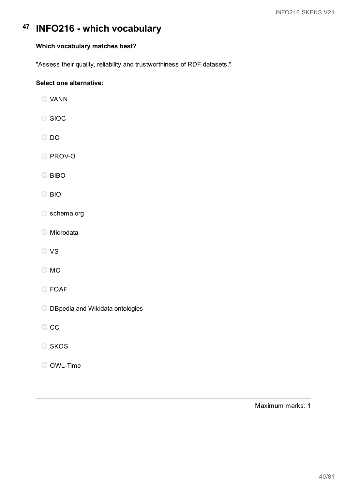## **Which vocabulary matches best?**

"Assess their quality, reliability and trustworthiness of RDF datasets."

## **Select one alternative:**

- VANN
- O SIOC
- O DC
- O PROV-O
- O BIBO
- BIO
- schema.org
- Microdata
- VS
- O MO
- FOAF
- O DBpedia and Wikidata ontologies
- $\circ$  cc
- O SKOS
- OWL-Time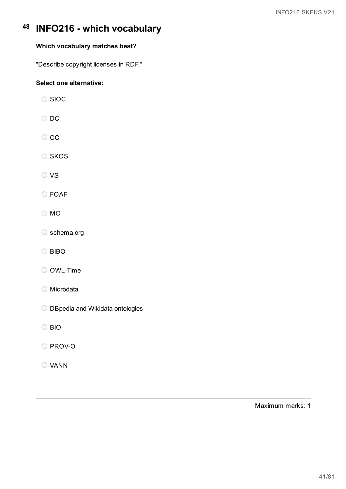## **Which vocabulary matches best?**

"Describe copyright licenses in RDF."

## **Select one alternative:**

- O SIOC
- O DC
- $\circ$  cc
- O SKOS
- O VS
- FOAF
- MO
- schema.org
- O BIBO
- OWL-Time
- Microdata
- O DBpedia and Wikidata ontologies
- O BIO
- O PROV-O
- VANN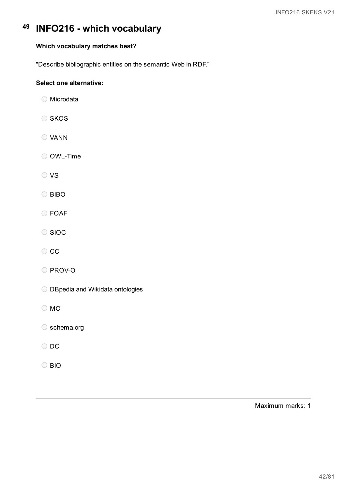## **Which vocabulary matches best?**

"Describe bibliographic entities on the semantic Web in RDF."

## **Select one alternative:**

- ◯ Microdata
- O SKOS
- VANN
- OWL-Time
- O VS
- O BIBO
- FOAF
- O SIOC
- $\circ$  cc
- PROV-O
- O DBpedia and Wikidata ontologies
- O MO
- O schema.org
- O DC
- O BIO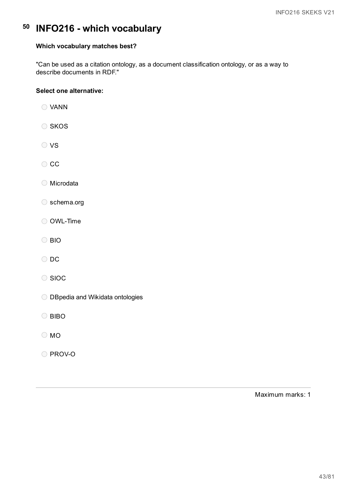## **Which vocabulary matches best?**

"Can be used as a citation ontology, as a document classification ontology, or as a way to describe documents in RDF."

## **Select one alternative:**

- VANN
- O SKOS
- O VS
- $\bigcirc$  CC
- Microdata
- schema.org
- O OWL-Time
- BIO
- O DC
- O SIOC
- O DBpedia and Wikidata ontologies
- O BIBO
- MO
- O PROV-O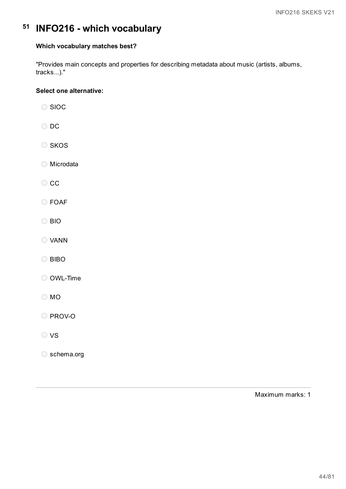## **Which vocabulary matches best?**

"Provides main concepts and properties for describing metadata about music (artists, albums, tracks...)."

### **Select one alternative:**

- O SIOC O DC O SKOS
- Microdata
- CC
- FOAF
- BIO
- VANN
- O BIBO
- OWL-Time
- MO

O PROV-O

- O VS
- schema.org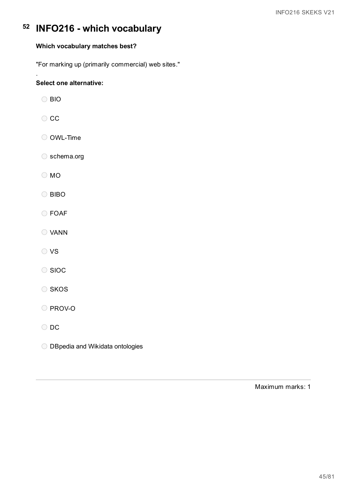## **Which vocabulary matches best?**

"For marking up (primarily commercial) web sites."

## **Select one alternative:**

BIO

.

- $\bigcirc$  CC
- O OWL-Time
- schema.org
- O MO
- O BIBO
- FOAF
- VANN
- VS
- O SIOC
- O SKOS
- O PROV-O
- O DC
- O DBpedia and Wikidata ontologies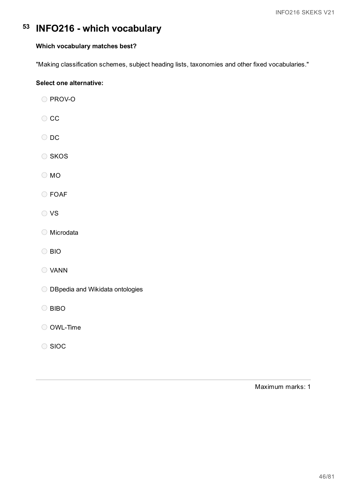## **Which vocabulary matches best?**

"Making classification schemes, subject heading lists, taxonomies and other fixed vocabularies."

## **Select one alternative:**

| PROV-O |  |
|--------|--|
|--------|--|

- $\bigcirc$  CC
- O DC
- O SKOS
- O MO
- FOAF
- VS
- Microdata
- BIO
- VANN
- O DBpedia and Wikidata ontologies
- O BIBO
- OWL-Time
- ◯ SIOC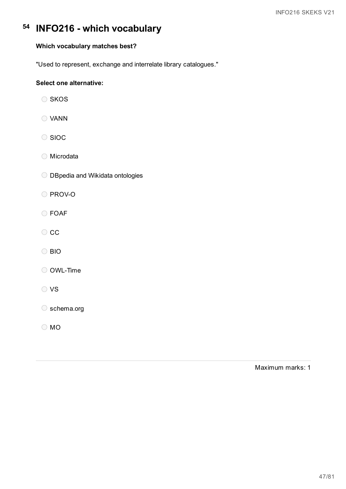## **Which vocabulary matches best?**

"Used to represent, exchange and interrelate library catalogues."

## **Select one alternative:**

- O SKOS
- VANN
- O SIOC
- ◯ Microdata
- O DBpedia and Wikidata ontologies
- O PROV-O
- FOAF
- O CC
- BIO
- O OWL-Time
- O VS

O schema.org

O MO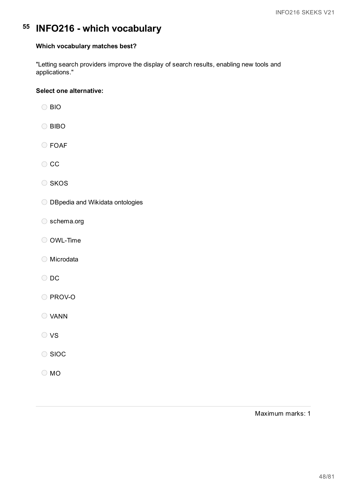### **Which vocabulary matches best?**

"Letting search providers improve the display of search results, enabling new tools and applications."

### **Select one alternative:**

- BIO
- O BIBO
- FOAF
- $\circ$  cc
- O SKOS
- O DBpedia and Wikidata ontologies
- schema.org
- OWL-Time
- Microdata
- O DC
- O PROV-O
- VANN
- O VS
- ◯ SIOC
- O MO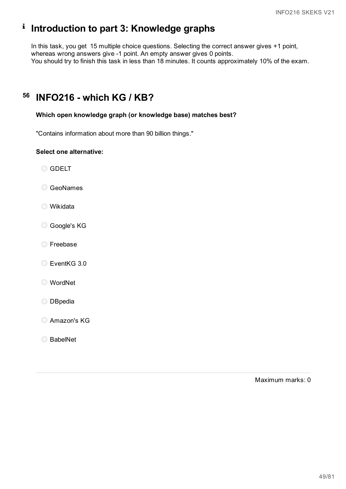# **Introduction to part 3: Knowledge graphs**

In this task, you get 15 multiple choice questions. Selecting the correct answer gives +1 point, whereas wrong answers give -1 point. An empty answer gives 0 points. You should try to finish this task in less than 18 minutes. It counts approximately 10% of the exam.

#### **56 INFO216 - which KG / KB?**

## **Which open knowledge graph (or knowledge base) matches best?**

"Contains information about more than 90 billion things."

### **Select one alternative:**

O GDELT

- GeoNames
- Wikidata
- Google's KG
- Freebase
- EventKG 3.0
- WordNet
- O DBpedia
- Amazon's KG
- ◯ BabelNet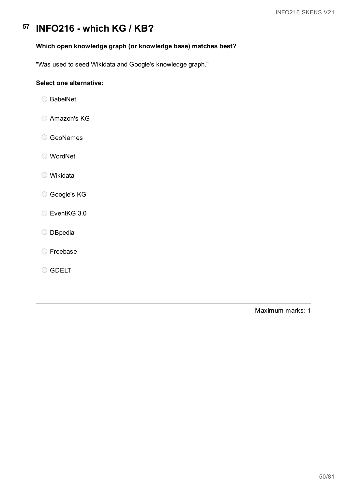## **Which open knowledge graph (or knowledge base) matches best?**

"Was used to seed Wikidata and Google's knowledge graph."

## **Select one alternative:**

- ◯ BabelNet
- Amazon's KG
- GeoNames
- WordNet
- Wikidata
- Google's KG
- EventKG 3.0
- O DBpedia
- Freebase
- O GDELT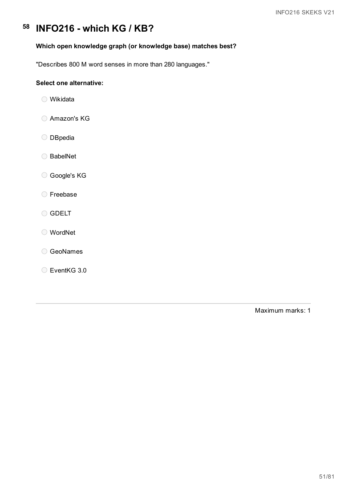## **Which open knowledge graph (or knowledge base) matches best?**

"Describes 800 M word senses in more than 280 languages."

## **Select one alternative:**

- Wikidata
- Amazon's KG
- O DBpedia
- ◯ BabelNet
- Google's KG
- Freebase
- O GDELT
- WordNet
- GeoNames
- EventKG 3.0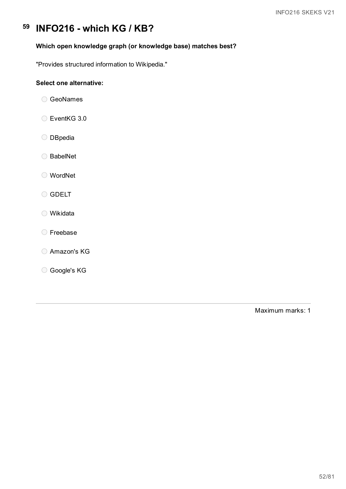## **Which open knowledge graph (or knowledge base) matches best?**

"Provides structured information to Wikipedia."

## **Select one alternative:**

- GeoNames
- EventKG 3.0
- O DBpedia
- ◯ BabelNet
- WordNet
- O GDELT
- Wikidata
- Freebase
- Amazon's KG
- Google's KG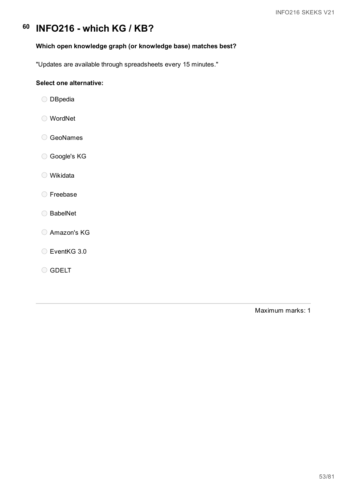## **Which open knowledge graph (or knowledge base) matches best?**

"Updates are available through spreadsheets every 15 minutes."

## **Select one alternative:**

- O DBpedia
- WordNet
- GeoNames
- Google's KG
- Wikidata
- Freebase
- BabelNet
- Amazon's KG
- C EventKG 3.0
- O GDELT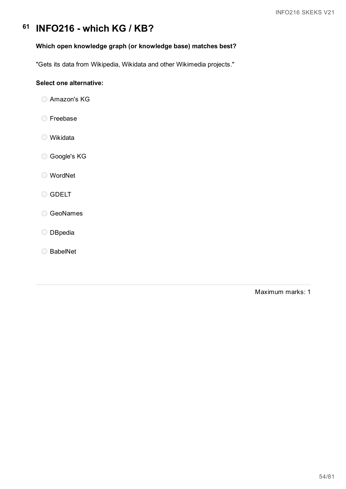## **Which open knowledge graph (or knowledge base) matches best?**

"Gets its data from Wikipedia, Wikidata and other Wikimedia projects."

### **Select one alternative:**

- Amazon's KG
- Freebase
- Wikidata
- Google's KG
- WordNet
- O GDELT
- GeoNames
- O DBpedia
- BabelNet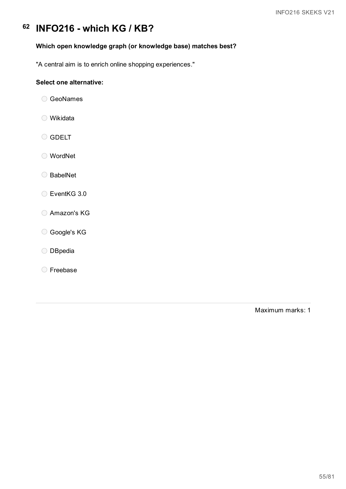## **Which open knowledge graph (or knowledge base) matches best?**

"A central aim is to enrich online shopping experiences."

## **Select one alternative:**

- GeoNames
- Wikidata
- O GDELT
- WordNet
- BabelNet
- EventKG 3.0
- Amazon's KG
- Google's KG
- O DBpedia
- Freebase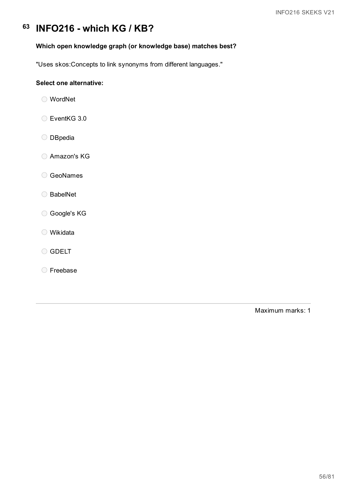## **Which open knowledge graph (or knowledge base) matches best?**

"Uses skos:Concepts to link synonyms from different languages."

## **Select one alternative:**

- WordNet
- EventKG 3.0
- O DBpedia
- Amazon's KG
- GeoNames
- BabelNet
- Google's KG
- Wikidata
- O GDELT
- Freebase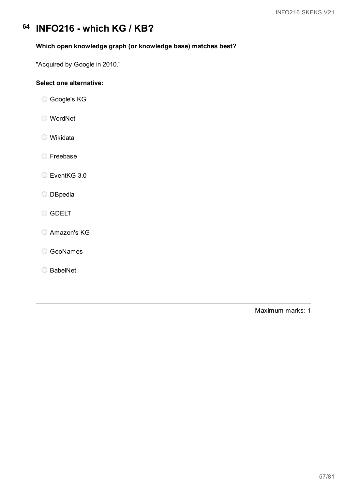## **Which open knowledge graph (or knowledge base) matches best?**

"Acquired by Google in 2010."

## **Select one alternative:**

Google's KG

- WordNet
- Wikidata
- Freebase

EventKG 3.0

- O DBpedia
- O GDELT
- Amazon's KG
- GeoNames
- BabelNet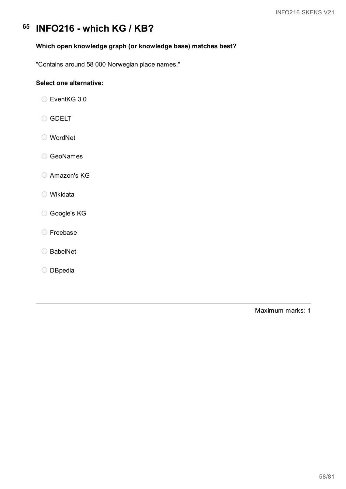## **Which open knowledge graph (or knowledge base) matches best?**

"Contains around 58 000 Norwegian place names."

## **Select one alternative:**

EventKG 3.0

- O GDELT
- WordNet
- GeoNames
- Amazon's KG
- Wikidata
- Google's KG
- Freebase
- BabelNet
- O DBpedia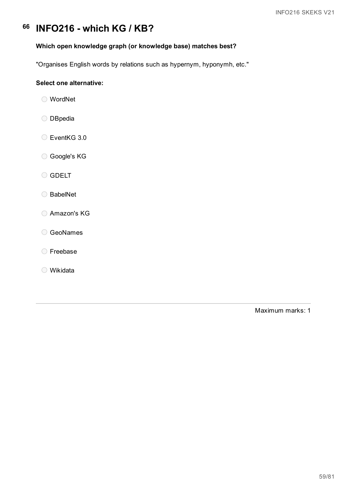## **Which open knowledge graph (or knowledge base) matches best?**

"Organises English words by relations such as hypernym, hyponymh, etc."

## **Select one alternative:**

- WordNet
- O DBpedia
- EventKG 3.0
- Google's KG
- O GDELT
- BabelNet
- Amazon's KG
- GeoNames
- Freebase
- Wikidata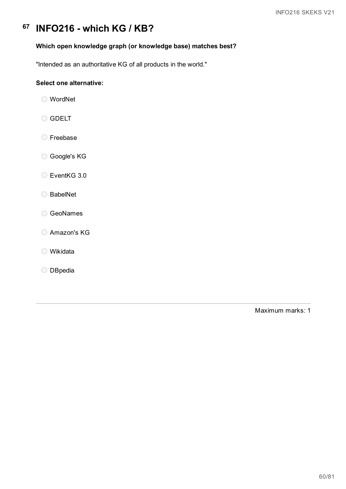## **Which open knowledge graph (or knowledge base) matches best?**

"Intended as an authoritative KG of all products in the world."

## **Select one alternative:**

- WordNet
- O GDELT
- Freebase
- Google's KG
- EventKG 3.0
- BabelNet
- GeoNames
- Amazon's KG
- Wikidata
- O DBpedia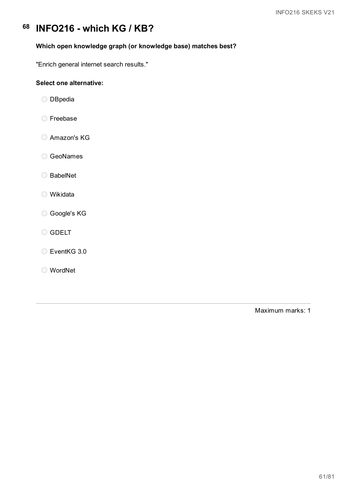## **Which open knowledge graph (or knowledge base) matches best?**

"Enrich general internet search results."

## **Select one alternative:**

- O DBpedia
- Freebase
- Amazon's KG
- GeoNames
- BabelNet
- Wikidata
- Google's KG
- O GDELT
- EventKG 3.0
- WordNet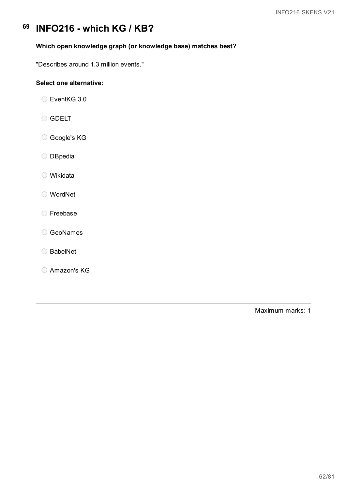## **Which open knowledge graph (or knowledge base) matches best?**

"Describes around 1.3 million events."

## **Select one alternative:**

EventKG 3.0

- O GDELT
- Google's KG
- O DBpedia
- Wikidata
- WordNet
- Freebase
- O GeoNames
- BabelNet
- Amazon's KG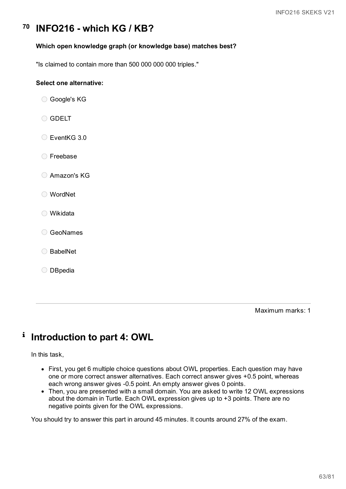### **Which open knowledge graph (or knowledge base) matches best?**

"Is claimed to contain more than 500 000 000 000 triples."

### **Select one alternative:**

- Google's KG
- O GDELT
- EventKG 3.0
- Freebase
- Amazon's KG
- WordNet
- Wikidata
- GeoNames
- ◯ BabelNet
- O DBpedia

Maximum marks: 1

#### i **Introduction to part 4: OWL**

In this task,

- First, you get 6 multiple choice questions about OWL properties. Each question may have one or more correct answer alternatives. Each correct answer gives +0.5 point, whereas each wrong answer gives -0.5 point. An empty answer gives 0 points.
- Then, you are presented with a small domain. You are asked to write 12 OWL expressions about the domain in Turtle. Each OWL expression gives up to +3 points. There are no negative points given for the OWL expressions.

You should try to answer this part in around 45 minutes. It counts around 27% of the exam.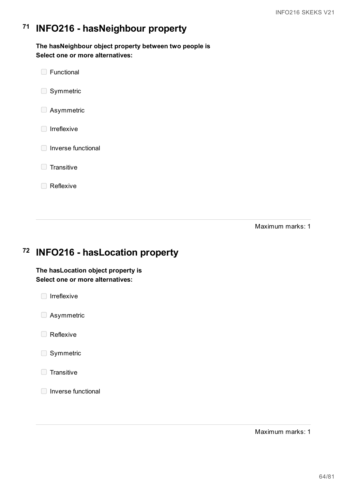#### **71 INFO216 - hasNeighbour property**

**The hasNeighbour object property between two people is Select one or more alternatives:**

**E** Functional Symmetric **B** Asymmetric  $\Box$  Irreflexive **Inverse functional**  $\Box$  Transitive

Maximum marks: 1

#### **72 INFO216 - hasLocation property**

## **The hasLocation object property is Select one or more alternatives:**



Reflexive

- **Asymmetric**
- Reflexive
- Symmetric
- $\Box$  Transitive
- $\Box$  Inverse functional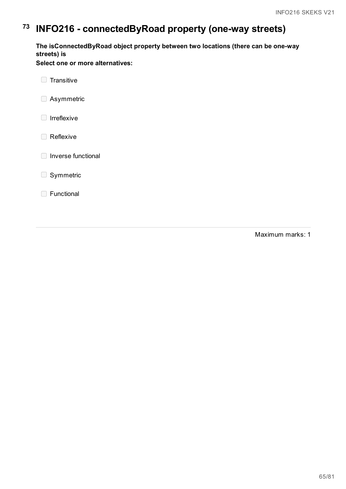# **73 INFO216 - connectedByRoad property (one-way streets)**

**The isConnectedByRoad object property between two locations (there can be one-way streets) is**

**Select one or more alternatives:**

 $\Box$  Transitive

**B** Asymmetric

 $\Box$  Irreflexive

Reflexive

□ Inverse functional

Symmetric

**Functional**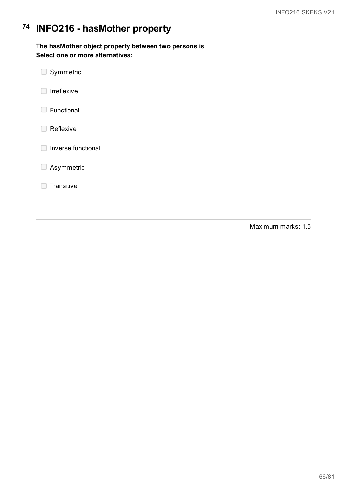# **74 INFO216 - hasMother property**

**The hasMother object property between two persons is Select one or more alternatives:**

- $\Box$  Symmetric
- $\Box$  Irreflexive
- **E** Functional
- Reflexive
- **Inverse functional**
- **B** Asymmetric
- $\Box$  Transitive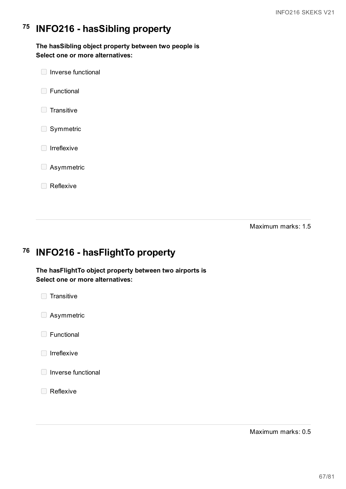#### **75 INFO216 - hasSibling property**

**The hasSibling object property between two people is Select one or more alternatives:**

 $\Box$  Inverse functional **Functional**  $\Box$  Transitive Symmetric  $\Box$  Irreflexive **Asymmetric** Reflexive

Maximum marks: 1.5

#### **76 INFO216 - hasFlightTo property**

**The hasFlightTo object property between two airports is Select one or more alternatives:**



- **Asymmetric**
- □ Functional
- $\Box$  Irreflexive
- □ Inverse functional
- Reflexive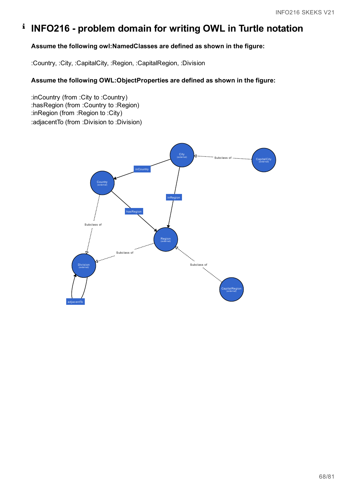# **INFO216 - problem domain for writing OWL in Turtle notation**

## **Assume the following owl:NamedClasses are defined as shown in the figure:**

:Country, :City, :CapitalCity, :Region, :CapitalRegion, :Division

## **Assume the following OWL:ObjectProperties are defined as shown in the figure:**

:inCountry (from :City to :Country) :hasRegion (from :Country to :Region) :inRegion (from :Region to :City) :adjacentTo (from :Division to :Division)

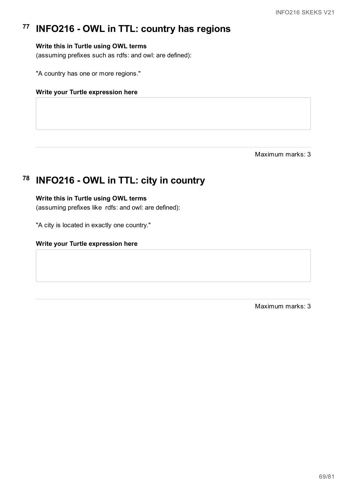#### **77 INFO216 - OWL in TTL: country has regions**

## **Write this in Turtle using OWL terms**

(assuming prefixes such as rdfs: and owl: are defined):

"A country has one or more regions."

#### **Write your Turtle expression here**

Maximum marks: 3

# **78 INFO216 - OWL in TTL: city in country**

### **Write this in Turtle using OWL terms**

(assuming prefixes like rdfs: and owl: are defined):

"A city is located in exactly one country."

### **Write your Turtle expression here**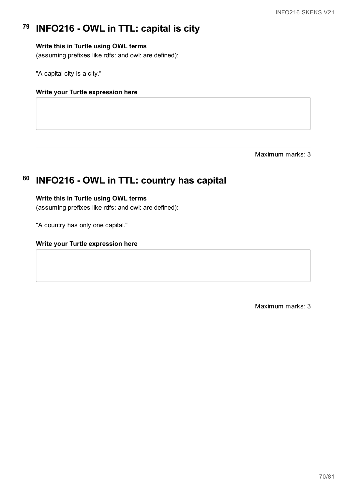#### **79 INFO216 - OWL in TTL: capital is city**

## **Write this in Turtle using OWL terms**

(assuming prefixes like rdfs: and owl: are defined):

"A capital city is a city."

### **Write your Turtle expression here**

Maximum marks: 3

#### **80 INFO216 - OWL in TTL: country has capital**

### **Write this in Turtle using OWL terms**

(assuming prefixes like rdfs: and owl: are defined):

"A country has only one capital."

#### **Write your Turtle expression here**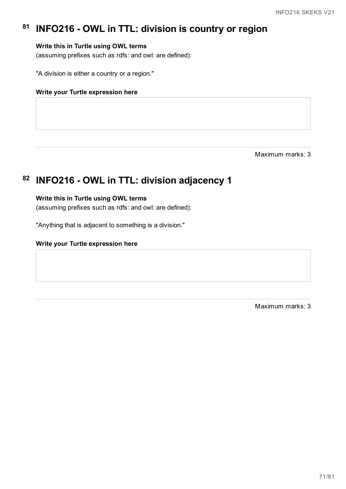#### **81 INFO216 - OWL in TTL: division is country or region**

## **Write this in Turtle using OWL terms**

(assuming prefixes such as rdfs: and owl: are defined):

"A division is either a country or a region."

#### **Write your Turtle expression here**

Maximum marks: 3

# **82 INFO216 - OWL in TTL: division adjacency 1**

### **Write this in Turtle using OWL terms**

(assuming prefixes such as rdfs: and owl: are defined):

"Anything that is adjacent to something is a division."

#### **Write your Turtle expression here**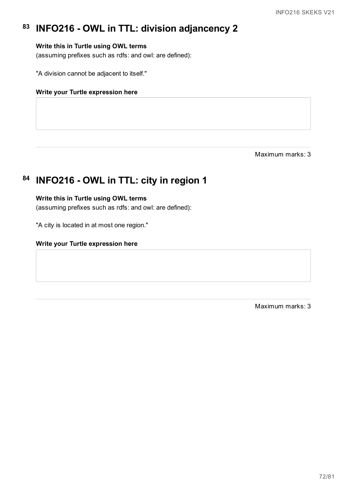#### **83 INFO216 - OWL in TTL: division adjancency 2**

## **Write this in Turtle using OWL terms**

(assuming prefixes such as rdfs: and owl: are defined):

"A division cannot be adjacent to itself."

#### **Write your Turtle expression here**

Maximum marks: 3

# **84 INFO216 - OWL in TTL: city in region 1**

### **Write this in Turtle using OWL terms**

(assuming prefixes such as rdfs: and owl: are defined):

"A city is located in at most one region."

#### **Write your Turtle expression here**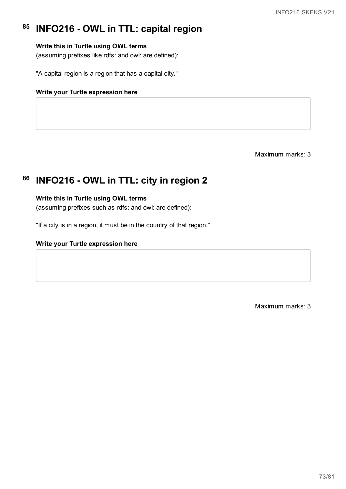#### **85 INFO216 - OWL in TTL: capital region**

### **Write this in Turtle using OWL terms**

(assuming prefixes like rdfs: and owl: are defined):

"A capital region is a region that has a capital city."

### **Write your Turtle expression here**

Maximum marks: 3

# **86 INFO216 - OWL in TTL: city in region 2**

### **Write this in Turtle using OWL terms**

(assuming prefixes such as rdfs: and owl: are defined):

"If a city is in a region, it must be in the country of that region."

### **Write your Turtle expression here**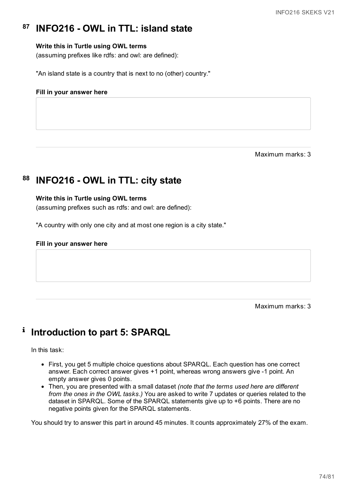#### **87 INFO216 - OWL in TTL: island state**

### **Write this in Turtle using OWL terms**

(assuming prefixes like rdfs: and owl: are defined):

"An island state is a country that is next to no (other) country."

#### **Fill in your answer here**

Maximum marks: 3

#### **88 INFO216 - OWL in TTL: city state**

#### **Write this in Turtle using OWL terms**

(assuming prefixes such as rdfs: and owl: are defined):

"A country with only one city and at most one region is a city state."

#### **Fill in your answer here**

Maximum marks: 3

#### i **Introduction to part 5: SPARQL**

In this task:

- First, you get 5 multiple choice questions about SPARQL. Each question has one correct answer. Each correct answer gives +1 point, whereas wrong answers give -1 point. An empty answer gives 0 points.
- Then, you are presented with a small dataset *(note that the terms used here are different from the ones in the OWL tasks.)* You are asked to write 7 updates or queries related to the dataset in SPARQL. Some of the SPARQL statements give up to +6 points. There are no negative points given for the SPARQL statements.

You should try to answer this part in around 45 minutes. It counts approximately 27% of the exam.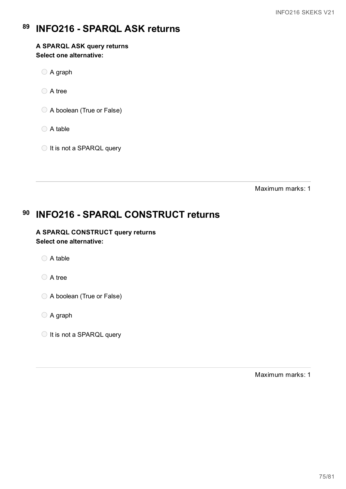#### **89 INFO216 - SPARQL ASK returns**

### **A SPARQL ASK query returns Select one alternative:**

- A graph
- ◯ A tree
- A boolean (True or False)
- A table
- $\bigcirc$  It is not a SPARQL query

Maximum marks: 1

#### **90 INFO216 - SPARQL CONSTRUCT returns**

### **A SPARQL CONSTRUCT query returns Select one alternative:**

- ◯ A table
- A tree
- A boolean (True or False)
- A graph
- $\bigcirc$  It is not a SPARQL query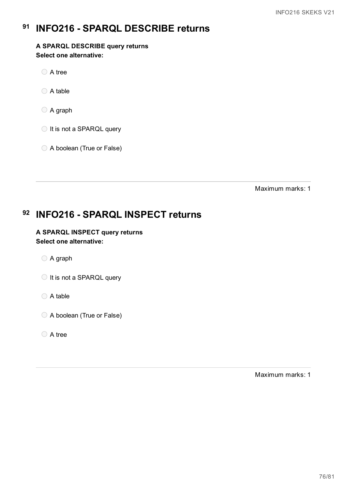#### **91 INFO216 - SPARQL DESCRIBE returns**

**A SPARQL DESCRIBE query returns Select one alternative:**

A tree

 $\bigcirc$  A table

A graph

◯ It is not a SPARQL query

A boolean (True or False)

Maximum marks: 1

#### **92 INFO216 - SPARQL INSPECT returns**

**A SPARQL INSPECT query returns Select one alternative:**

A graph

 $\bigcirc$  It is not a SPARQL query

◯ A table

A boolean (True or False)

A tree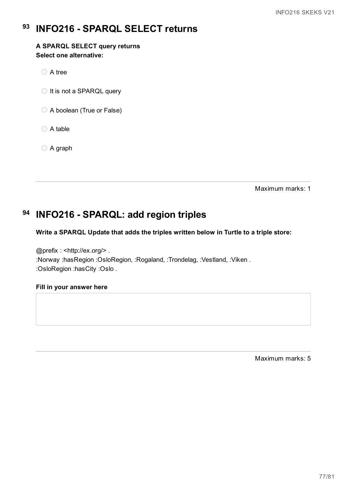#### **93 INFO216 - SPARQL SELECT returns**

### **A SPARQL SELECT query returns Select one alternative:**

A tree

◯ It is not a SPARQL query

- A boolean (True or False)
- ◯ A table
- A graph

Maximum marks: 1

# **94 INFO216 - SPARQL: add region triples**

### **Write a SPARQL Update that adds the triples written below in Turtle to a triple store:**

@prefix : <http://ex.org/> . :Norway :hasRegion :OsloRegion, :Rogaland, :Trondelag, :Vestland, :Viken . :OsloRegion :hasCity :Oslo .

### **Fill in your answer here**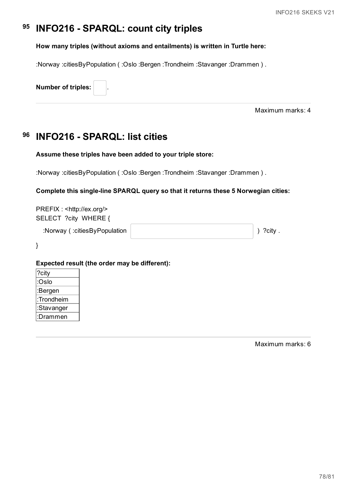#### **95 INFO216 - SPARQL: count city triples**

### **How many triples (without axioms and entailments) is written in Turtle here:**

:Norway :citiesByPopulation ( :Oslo :Bergen :Trondheim :Stavanger :Drammen ) .

**Number of triples:** .

Maximum marks: 4

#### **96 INFO216 - SPARQL: list cities**

### **Assume these triples have been added to your triple store:**

:Norway :citiesByPopulation ( :Oslo :Bergen :Trondheim :Stavanger :Drammen ) .

### **Complete this single-line SPARQL query so that it returns these 5 Norwegian cities:**

PREFIX : <http://ex.org/> SELECT ?city WHERE {

:Norway ( :citiesByPopulation ) ?city .

}

### **Expected result (the order may be different):**

| ?city      |  |
|------------|--|
| :Oslo      |  |
| :Bergen    |  |
| :Trondheim |  |
| :Stavanger |  |
| :Drammen   |  |
|            |  |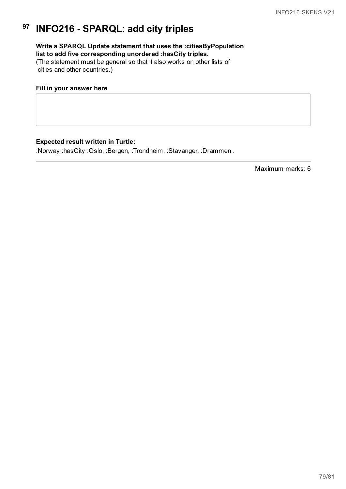#### **97 INFO216 - SPARQL: add city triples**

## **Write a SPARQL Update statement that uses the :citiesByPopulation list to add five corresponding unordered :hasCity triples.**

(The statement must be general so that it also works on other lists of cities and other countries.)

### **Fill in your answer here**

### **Expected result written in Turtle:**

:Norway :hasCity :Oslo, :Bergen, :Trondheim, :Stavanger, :Drammen .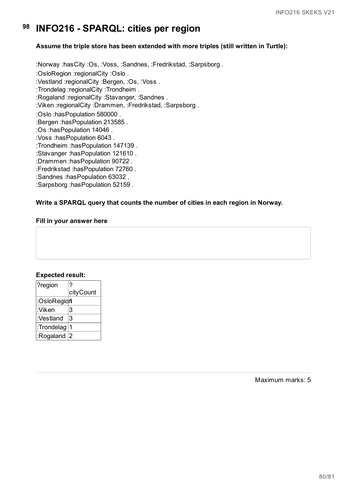#### **98 INFO216 - SPARQL: cities per region**

### **Assume the triple store has been extended with more triples (still written in Turtle):**

:Norway :hasCity :Os, :Voss, :Sandnes, :Fredrikstad, :Sarpsborg . :OsloRegion :regionalCity :Oslo . :Vestland :regionalCity :Bergen, :Os, :Voss . :Trondelag :regionalCity :Trondheim . :Rogaland :regionalCity :Stavanger, :Sandnes . :Viken :regionalCity :Drammen, :Fredrikstad, :Sarpsborg . :Oslo :hasPopulation 580000 . :Bergen :hasPopulation 213585 . :Os :hasPopulation 14046 . :Voss :hasPopulation 6043 . :Trondheim :hasPopulation 147139 . :Stavanger :hasPopulation 121610 . :Drammen :hasPopulation 90722 . :Fredrikstad :hasPopulation 72760 . :Sandnes :hasPopulation 63032 . :Sarpsborg :hasPopulation 52159 .

### **Write a SPARQL query that counts the number of cities in each region in Norway.**

### **Fill in your answer here**

### **Expected result:**

| ?region     |           |
|-------------|-----------|
|             | cityCount |
| :OsloRegion |           |
| :Viken      | 3         |
| :Vestland   | 3         |
| :Trondelag  |           |
| :Rogaland   | 2         |